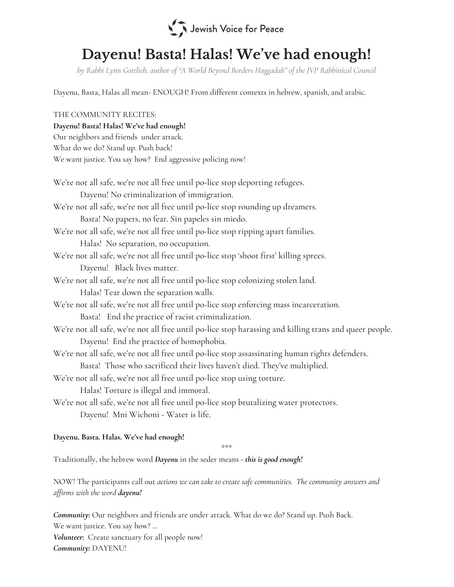

# Dayenu! Basta! Halas! We' ve had enough!

by Rabbi Lynn Gottlieb, author of "A World Beyond Borders Haggadah" of the JVP Rabbinical Council

Dayenu, Basta, Halas all mean- ENOUGH! From different contexts in hebrew, spanish, and arabic.

## THE COMMUNITY RECITES:

#### Dayenu! Basta! Halas! We've had enough!

| Dayenu! Basta! Halas! We've had enough!                                                                 |
|---------------------------------------------------------------------------------------------------------|
| Our neighbors and friends under attack.                                                                 |
| What do we do? Stand up. Push back!                                                                     |
| We want justice. You say how? End aggressive policing now!                                              |
|                                                                                                         |
| We're not all safe, we're not all free until po-lice stop deporting refugees.                           |
| Dayenu! No criminalization of immigration.                                                              |
| We're not all safe, we're not all free until po-lice stop rounding up dreamers.                         |
| Basta! No papers, no fear. Sin papeles sin miedo.                                                       |
| We're not all safe, we're not all free until po-lice stop ripping apart families.                       |
| Halas! No separation, no occupation.                                                                    |
| We're not all safe, we're not all free until po-lice stop 'shoot first' killing sprees.                 |
| Dayenu! Black lives matter.                                                                             |
| We're not all safe, we're not all free until po-lice stop colonizing stolen land.                       |
| Halas! Tear down the separation walls.                                                                  |
| We're not all safe, we're not all free until po-lice stop enforcing mass incarceration.                 |
| Basta! End the practice of racist criminalization.                                                      |
| We're not all safe, we're not all free until po-lice stop harassing and killing trans and queer people. |
| Dayenu! End the practice of homophobia.                                                                 |
| We're not all safe, we're not all free until po-lice stop assassinating human rights defenders.         |
| Basta! Those who sacrificed their lives haven't died. They've multiplied.                               |
| We're not all safe, we're not all free until po-lice stop using torture.                                |
| Halas! Torture is illegal and immoral.                                                                  |
| We're not all safe, we're not all free until po-lice stop brutalizing water protectors.                 |
| Dayenu! Mni Wichoni - Water is life.                                                                    |
|                                                                                                         |

## Dayenu. Basta. Halas. We've had enough!

\*\*\*

Traditionally, the hebrew word Dayenu in the seder means - this is good enough!

NOW! The participants call out actions we can take to create safe communities. The community answers and affirms with the word dayenu!

Community: Our neighbors and friends are under attack. What do we do? Stand up. Push Back. We want justice. You say how? ... Volunteer: Create sanctuary for all people now! Community: DAYENU!